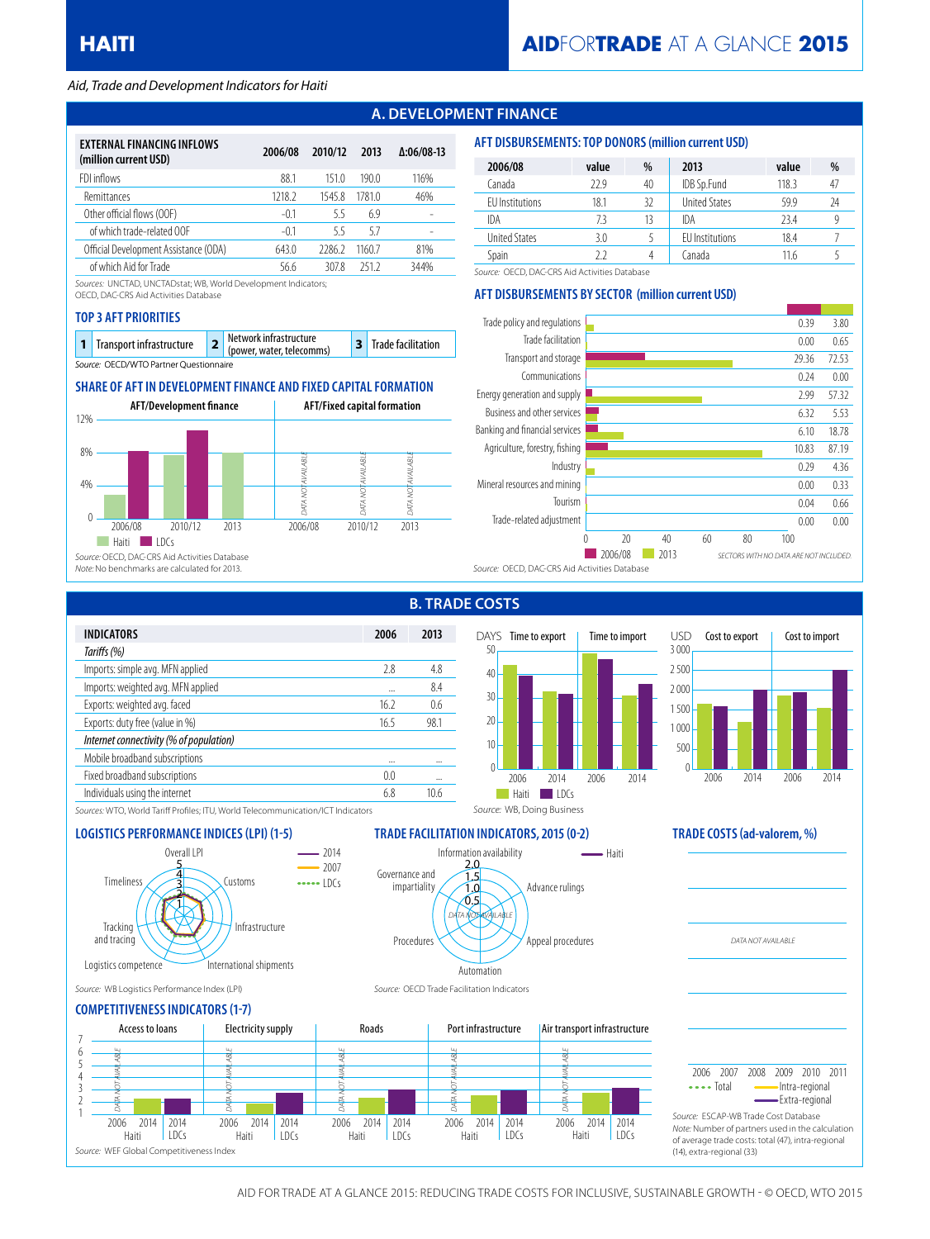### *Aid, Trade and Development Indicators for Haiti*

# **A. DEVELOPMENT FINANCE**

| EXTERNAL FINANCING INFLOWS<br>(million current USD) | 2006/08 | 2010/12 | 2013   | $\Delta:06/08-13$ |
|-----------------------------------------------------|---------|---------|--------|-------------------|
| FDI inflows                                         | 88.1    | 151.0   | 190.0  | 116%              |
| Remittances                                         | 1218.2  | 15458   | 17810  | 46%               |
| Other official flows (OOF)                          | $-01$   | 55      | 6.9    |                   |
| of which trade-related OOF                          | $-01$   | 55      | 57     |                   |
| Official Development Assistance (ODA)               | 643.0   | 22862   | 1160 7 | 81%               |
| of which Aid for Trade                              | 56.6    | 3078    | 2512   | 344%              |

*Sources:* UNCTAD, UNCTADstat; WB, World Development Indicators;

OECD, DAC-CRS Aid Activities Database

#### **TOP 3 AFT PRIORITIES**

| 1 Transport infrastructure             | Network infrastructure<br>(power, water, telecomms) | 3 Trade facilitation |
|----------------------------------------|-----------------------------------------------------|----------------------|
| Source: OECD/WTO Partner Questionnaire |                                                     |                      |

# **SHARE OF AFT IN DEVELOPMENT FINANCE AND FIXED CAPITAL FORMATION**



| 2006/08              | value | %  | 2013                   | value | %  |
|----------------------|-------|----|------------------------|-------|----|
| Canada               | 22.9  | 40 | IDB Sp.Fund            | 118.3 | 47 |
| EU Institutions      | 18.1  | 32 | <b>United States</b>   | 59.9  | 24 |
| IDA                  | 73    | 13 | IDA                    | 23.4  |    |
| <b>United States</b> | 3.0   |    | <b>EU</b> Institutions | 18.4  |    |
| Spain                | 77    | 4  | Canada                 | 11.6  |    |

*Source:* OECD, DAC-CRS Aid Activities Database

### **AFT DISBURSEMENTS BY SECTOR (million current USD)**

**AFT DISBURSEMENTS: TOP DONORS (million current USD)**



|                                         |          | <u>D. IIVAL</u> |
|-----------------------------------------|----------|-----------------|
| <b>INDICATORS</b>                       | 2006     | 2013            |
| Tariffs (%)                             |          |                 |
| Imports: simple avg. MFN applied        | 2.8      | 4.8             |
| Imports: weighted avg. MFN applied      | $\cdots$ | 8.4             |
| Exports: weighted avg. faced            | 16.2     | 0.6             |
| Exports: duty free (value in %)         | 16.5     | 98.1            |
| Internet connectivity (% of population) |          |                 |
| Mobile broadband subscriptions          |          |                 |
| Fixed broadband subscriptions           | 0.0      |                 |
| Individuals using the internet          | 6.8      | 10.6            |
|                                         |          |                 |

# **B. TRADE COSTS**

Information availability

Automation

*DATA NOT AVAILABLE* 0.5 1.0 1.5 2.0

Procedures

Governance and impartiality



Advance rulings

*Source:* WB, Doing Business

 $-$  Haiti

Appeal procedures



*DATA NOT AVAILABLE*

*Sources:* WTO, World Tariff Profiles; ITU, World Telecommunication/ICT Indicators

# **LOGISTICS PERFORMANCE INDICES (LPI) (1-5) TRADE FACILITATION INDICATORS, 2015 (0-2) TRADE COSTS (ad-valorem, %)**



*Source:* WB Logistics Performance Index (LPI) *Source:* OECD Trade Facilitation Indicators

### **COMPETITIVENESS INDICATORS (1-7)**